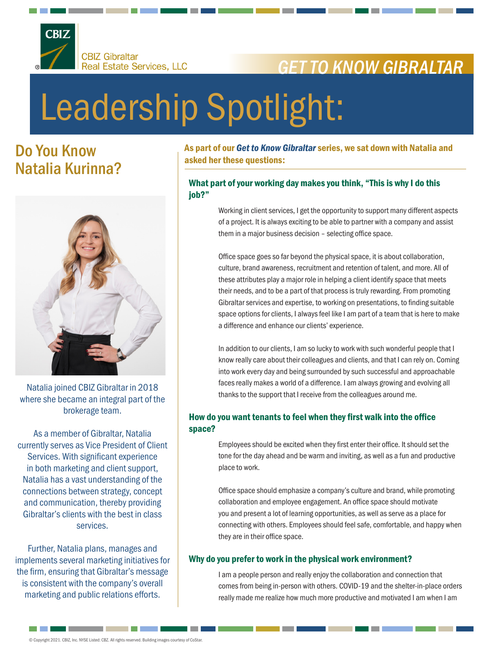

# *GET TO KNOW GIBRALTAR*

# Leadership Spotlight:

## Do You Know Natalia Kurinna?



Natalia joined CBIZ Gibraltar in 2018 where she became an integral part of the brokerage team.

As a member of Gibraltar, Natalia currently serves as Vice President of Client Services. With significant experience in both marketing and client support, Natalia has a vast understanding of the connections between strategy, concept and communication, thereby providing Gibraltar's clients with the best in class services.

Further, Natalia plans, manages and implements several marketing initiatives for the firm, ensuring that Gibraltar's message is consistent with the company's overall marketing and public relations efforts.

As part of our *Get to Know Gibraltar* series, we sat down with Natalia and asked her these questions:

#### What part of your working day makes you think, "This is why I do this job?"

Working in client services, I get the opportunity to support many different aspects of a project. It is always exciting to be able to partner with a company and assist them in a major business decision – selecting office space.

Office space goes so far beyond the physical space, it is about collaboration, culture, brand awareness, recruitment and retention of talent, and more. All of these attributes play a major role in helping a client identify space that meets their needs, and to be a part of that process is truly rewarding. From promoting Gibraltar services and expertise, to working on presentations, to finding suitable space options for clients, I always feel like I am part of a team that is here to make a difference and enhance our clients' experience.

In addition to our clients, I am so lucky to work with such wonderful people that I know really care about their colleagues and clients, and that I can rely on. Coming into work every day and being surrounded by such successful and approachable faces really makes a world of a difference. I am always growing and evolving all thanks to the support that I receive from the colleagues around me.

### How do you want tenants to feel when they first walk into the office space?

Employees should be excited when they first enter their office. It should set the tone for the day ahead and be warm and inviting, as well as a fun and productive place to work.

Office space should emphasize a company's culture and brand, while promoting collaboration and employee engagement. An office space should motivate you and present a lot of learning opportunities, as well as serve as a place for connecting with others. Employees should feel safe, comfortable, and happy when they are in their office space.

#### Why do you prefer to work in the physical work environment?

I am a people person and really enjoy the collaboration and connection that comes from being in-person with others. COVID-19 and the shelter-in-place orders really made me realize how much more productive and motivated I am when I am